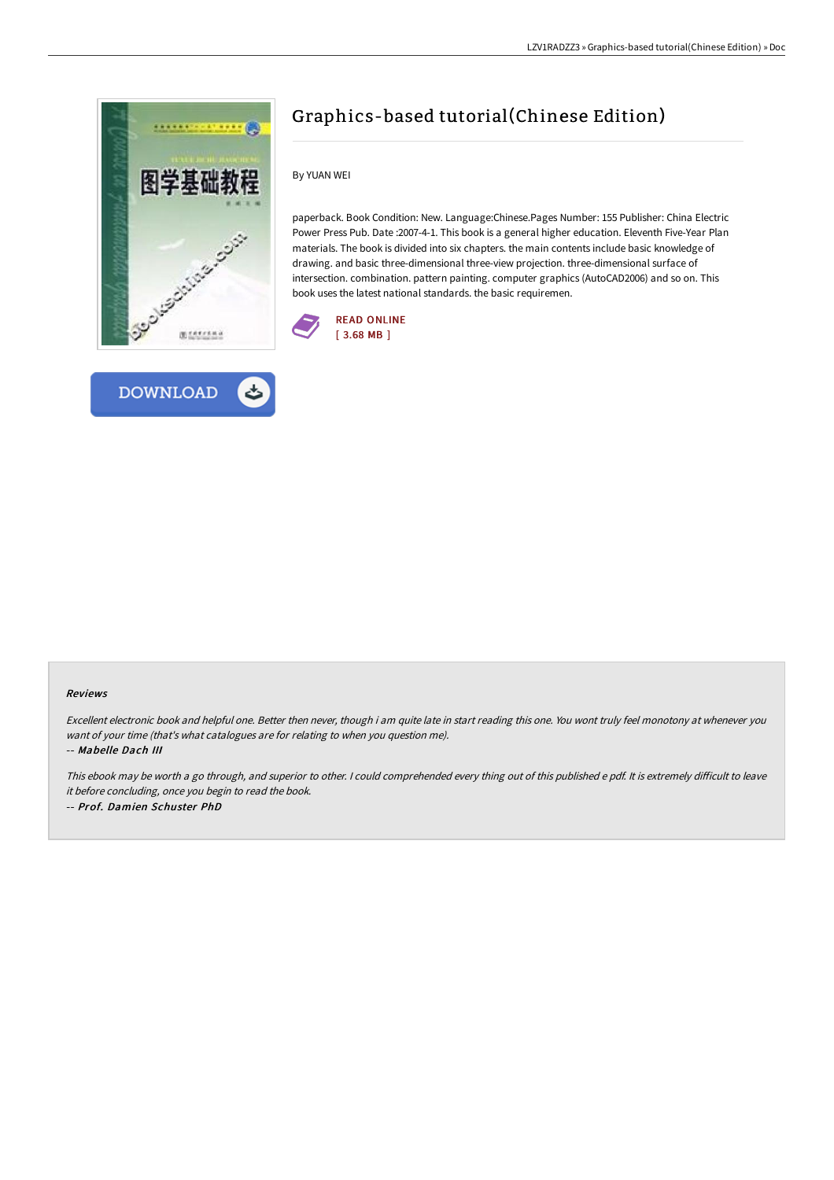

**DOWNLOAD** 



By YUAN WEI

paperback. Book Condition: New. Language:Chinese.Pages Number: 155 Publisher: China Electric Power Press Pub. Date :2007-4-1. This book is a general higher education. Eleventh Five-Year Plan materials. The book is divided into six chapters. the main contents include basic knowledge of drawing. and basic three-dimensional three-view projection. three-dimensional surface of intersection. combination. pattern painting. computer graphics (AutoCAD2006) and so on. This book uses the latest national standards. the basic requiremen.





## Reviews

Excellent electronic book and helpful one. Better then never, though i am quite late in start reading this one. You wont truly feel monotony at whenever you want of your time (that's what catalogues are for relating to when you question me). -- Mabelle Dach III

This ebook may be worth a go through, and superior to other. I could comprehended every thing out of this published e pdf. It is extremely difficult to leave it before concluding, once you begin to read the book. -- Prof. Damien Schuster PhD